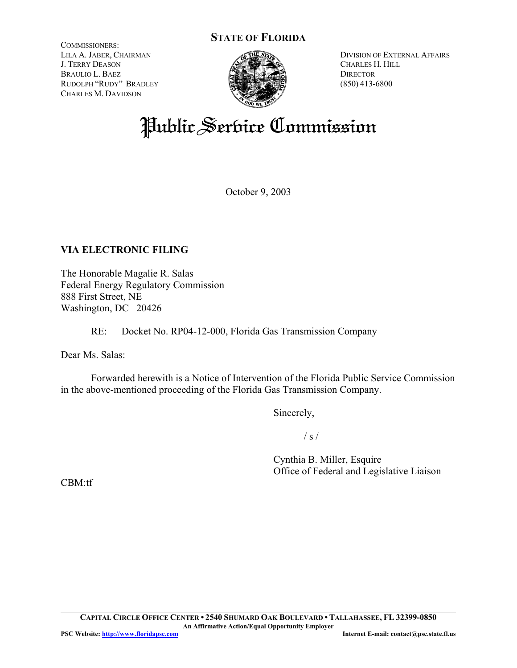## **STATE OF FLORIDA**

COMMISSIONERS: LILA A. JABER, CHAIRMAN J. TERRY DEASON BRAULIO L. BAEZ RUDOLPH "RUDY" BRADLEY CHARLES M. DAVIDSON



DIVISION OF EXTERNAL AFFAIRS CHARLES H. HILL **DIRECTOR** (850) 413-6800

# Public Serbice Commission

October 9, 2003

#### **VIA ELECTRONIC FILING**

The Honorable Magalie R. Salas Federal Energy Regulatory Commission 888 First Street, NE Washington, DC 20426

RE: Docket No. RP04-12-000, Florida Gas Transmission Company

Dear Ms. Salas:

Forwarded herewith is a Notice of Intervention of the Florida Public Service Commission in the above-mentioned proceeding of the Florida Gas Transmission Company.

Sincerely,

 $/ s /$ 

Cynthia B. Miller, Esquire Office of Federal and Legislative Liaison

CBM:tf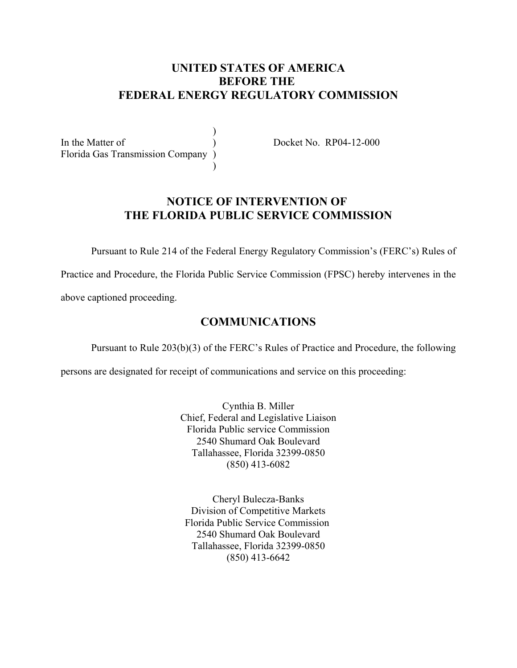# **UNITED STATES OF AMERICA BEFORE THE FEDERAL ENERGY REGULATORY COMMISSION**

) In the Matter of  $Docket No. RP04-12-000$ Florida Gas Transmission Company )  $\lambda$ 

## **NOTICE OF INTERVENTION OF THE FLORIDA PUBLIC SERVICE COMMISSION**

Pursuant to Rule 214 of the Federal Energy Regulatory Commission's (FERC's) Rules of

Practice and Procedure, the Florida Public Service Commission (FPSC) hereby intervenes in the

above captioned proceeding.

# **COMMUNICATIONS**

Pursuant to Rule 203(b)(3) of the FERC's Rules of Practice and Procedure, the following

persons are designated for receipt of communications and service on this proceeding:

Cynthia B. Miller Chief, Federal and Legislative Liaison Florida Public service Commission 2540 Shumard Oak Boulevard Tallahassee, Florida 32399-0850 (850) 413-6082

Cheryl Bulecza-Banks Division of Competitive Markets Florida Public Service Commission 2540 Shumard Oak Boulevard Tallahassee, Florida 32399-0850 (850) 413-6642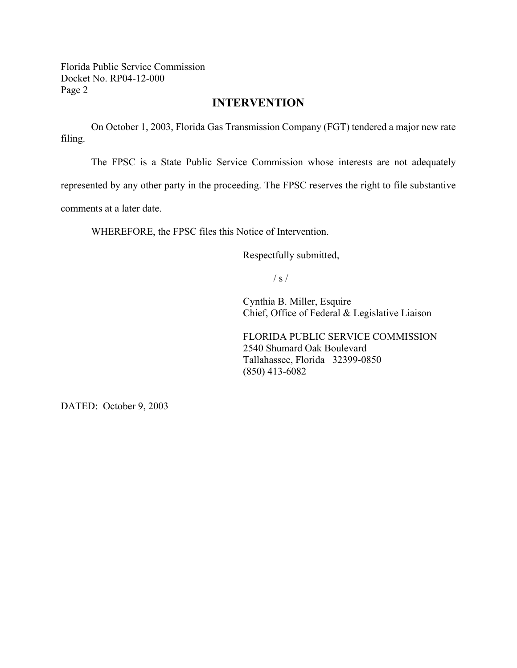Florida Public Service Commission Docket No. RP04-12-000 Page 2

## **INTERVENTION**

On October 1, 2003, Florida Gas Transmission Company (FGT) tendered a major new rate filing.

The FPSC is a State Public Service Commission whose interests are not adequately

represented by any other party in the proceeding. The FPSC reserves the right to file substantive

comments at a later date.

WHEREFORE, the FPSC files this Notice of Intervention.

Respectfully submitted,

 $/ s /$ 

Cynthia B. Miller, Esquire Chief, Office of Federal & Legislative Liaison

FLORIDA PUBLIC SERVICE COMMISSION 2540 Shumard Oak Boulevard Tallahassee, Florida 32399-0850 (850) 413-6082

DATED: October 9, 2003